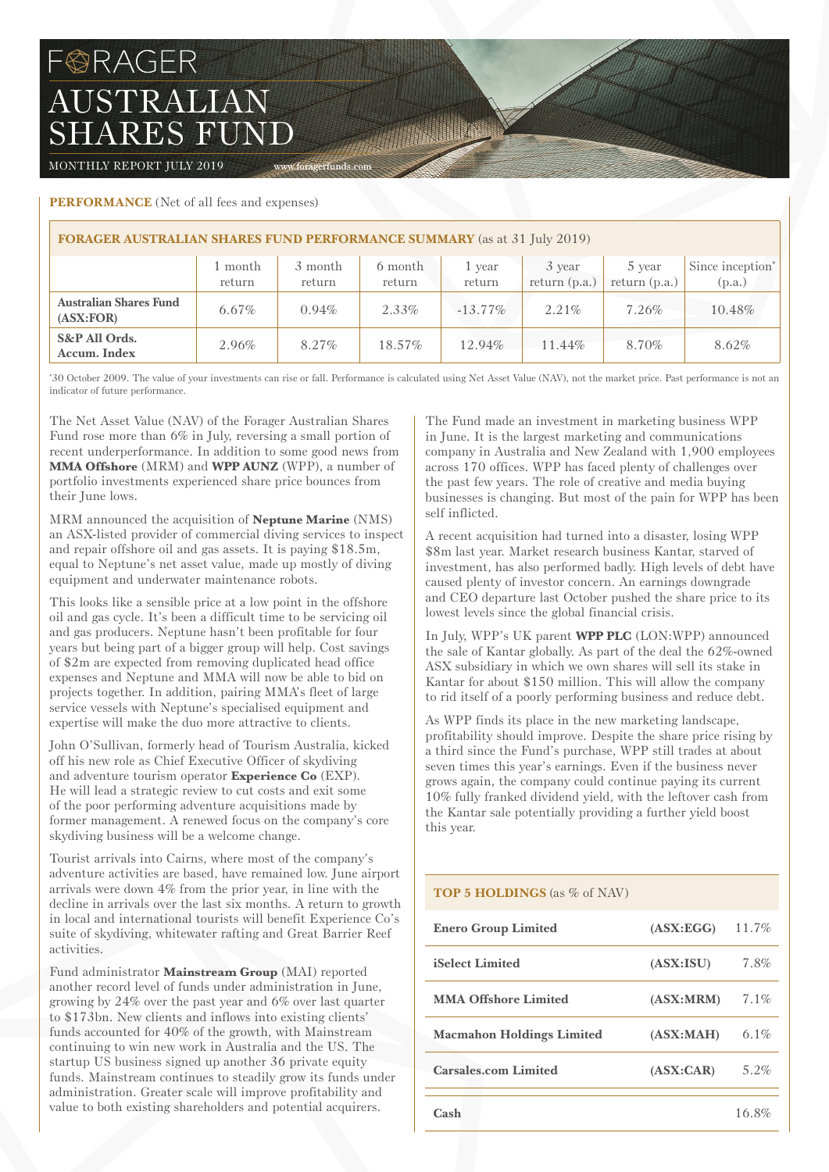# **BRAGER** AUSTRALIAN SHARES FUND

MONTHLY REPORT JULY 2019 Www.foragerfunds.com

## **PERFORMANCE** (Net of all fees and expenses)

| <b>FORAGER AUSTRALIAN SHARES FUND PERFORMANCE SUMMARY</b> (as at 31 July 2019) |                   |                   |                   |                  |                           |                           |                                        |  |
|--------------------------------------------------------------------------------|-------------------|-------------------|-------------------|------------------|---------------------------|---------------------------|----------------------------------------|--|
|                                                                                | l month<br>return | 3 month<br>return | 6 month<br>return | 1 year<br>return | 3 year<br>return $(p.a.)$ | 5 year<br>return $(p.a.)$ | Since inception <sup>*</sup><br>(p.a.) |  |
| <b>Australian Shares Fund</b><br>(ASK:FOR)                                     | $6.67\%$          | $0.94\%$          | 2.33%             | $-13.77\%$       | $2.21\%$                  | 7.26%                     | 10.48%                                 |  |
| S&P All Ords.<br>Accum. Index                                                  | 2.96%             | $8.27\%$          | 18.57%            | 12.94%           | 11.44%                    | 8.70%                     | 8.62%                                  |  |

The Company

\* 30 October 2009. The value of your investments can rise or fall. Performance is calculated using Net Asset Value (NAV), not the market price. Past performance is not an indicator of future performance.

The Net Asset Value (NAV) of the Forager Australian Shares Fund rose more than 6% in July, reversing a small portion of recent underperformance. In addition to some good news from **MMA Offshore** (MRM) and **WPP AUNZ** (WPP), a number of portfolio investments experienced share price bounces from their June lows.

MRM announced the acquisition of **Neptune Marine** (NMS) an ASX-listed provider of commercial diving services to inspect and repair offshore oil and gas assets. It is paying \$18.5m, equal to Neptune's net asset value, made up mostly of diving equipment and underwater maintenance robots.

This looks like a sensible price at a low point in the offshore oil and gas cycle. It's been a difficult time to be servicing oil and gas producers. Neptune hasn't been profitable for four years but being part of a bigger group will help. Cost savings of \$2m are expected from removing duplicated head office expenses and Neptune and MMA will now be able to bid on projects together. In addition, pairing MMA's fleet of large service vessels with Neptune's specialised equipment and expertise will make the duo more attractive to clients.

John O'Sullivan, formerly head of Tourism Australia, kicked off his new role as Chief Executive Officer of skydiving and adventure tourism operator **Experience Co** (EXP). He will lead a strategic review to cut costs and exit some of the poor performing adventure acquisitions made by former management. A renewed focus on the company's core skydiving business will be a welcome change.

Tourist arrivals into Cairns, where most of the company's adventure activities are based, have remained low. June airport arrivals were down 4% from the prior year, in line with the decline in arrivals over the last six months. A return to growth in local and international tourists will benefit Experience Co's suite of skydiving, whitewater rafting and Great Barrier Reef activities.

Fund administrator **Mainstream Group** (MAI) reported another record level of funds under administration in June, growing by 24% over the past year and 6% over last quarter to \$173bn. New clients and inflows into existing clients' funds accounted for 40% of the growth, with Mainstream continuing to win new work in Australia and the US. The startup US business signed up another 36 private equity funds. Mainstream continues to steadily grow its funds under administration. Greater scale will improve profitability and value to both existing shareholders and potential acquirers.

The Fund made an investment in marketing business WPP in June. It is the largest marketing and communications company in Australia and New Zealand with 1,900 employees across 170 offices. WPP has faced plenty of challenges over the past few years. The role of creative and media buying businesses is changing. But most of the pain for WPP has been self inflicted.

A recent acquisition had turned into a disaster, losing WPP \$8m last year. Market research business Kantar, starved of investment, has also performed badly. High levels of debt have caused plenty of investor concern. An earnings downgrade and CEO departure last October pushed the share price to its lowest levels since the global financial crisis.

In July, WPP's UK parent **WPP PLC** (LON:WPP) announced the sale of Kantar globally. As part of the deal the 62%-owned ASX subsidiary in which we own shares will sell its stake in Kantar for about \$150 million. This will allow the company to rid itself of a poorly performing business and reduce debt.

As WPP finds its place in the new marketing landscape, profitability should improve. Despite the share price rising by a third since the Fund's purchase, WPP still trades at about seven times this year's earnings. Even if the business never grows again, the company could continue paying its current 10% fully franked dividend yield, with the leftover cash from the Kantar sale potentially providing a further yield boost this year.

## **TOP 5 HOLDINGS** (as % of NAV)

| <b>Enero Group Limited</b>       | (ASK:EGG)  | 11.7%   |
|----------------------------------|------------|---------|
| <b>iSelect Limited</b>           | (ASK:ISU)  | $7.8\%$ |
| <b>MMA Offshore Limited</b>      | (ASK: MRM) | $7.1\%$ |
| <b>Macmahon Holdings Limited</b> | (ASK:MAH)  | 6.1%    |
| <b>Carsales.com Limited</b>      | (ASK:CAR)  | $5.2\%$ |
| Cash                             |            | 16.8%   |